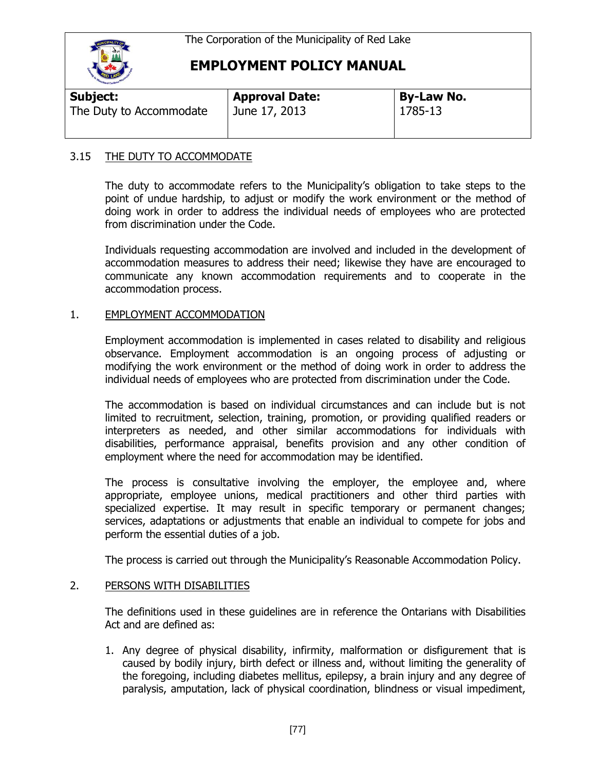

# **EMPLOYMENT POLICY MANUAL**

| Subject:                | <b>Approval Date:</b> | <b>By-Law No.</b> |  |
|-------------------------|-----------------------|-------------------|--|
| The Duty to Accommodate | June 17, 2013         | 1785-13           |  |
|                         |                       |                   |  |

### 3.15 THE DUTY TO ACCOMMODATE

The duty to accommodate refers to the Municipality's obligation to take steps to the point of undue hardship, to adjust or modify the work environment or the method of doing work in order to address the individual needs of employees who are protected from discrimination under the Code.

Individuals requesting accommodation are involved and included in the development of accommodation measures to address their need; likewise they have are encouraged to communicate any known accommodation requirements and to cooperate in the accommodation process.

## 1. EMPLOYMENT ACCOMMODATION

Employment accommodation is implemented in cases related to disability and religious observance. Employment accommodation is an ongoing process of adjusting or modifying the work environment or the method of doing work in order to address the individual needs of employees who are protected from discrimination under the Code.

The accommodation is based on individual circumstances and can include but is not limited to recruitment, selection, training, promotion, or providing qualified readers or interpreters as needed, and other similar accommodations for individuals with disabilities, performance appraisal, benefits provision and any other condition of employment where the need for accommodation may be identified.

The process is consultative involving the employer, the employee and, where appropriate, employee unions, medical practitioners and other third parties with specialized expertise. It may result in specific temporary or permanent changes; services, adaptations or adjustments that enable an individual to compete for jobs and perform the essential duties of a job.

The process is carried out through the Municipality's Reasonable Accommodation Policy.

### 2. PERSONS WITH DISABILITIES

The definitions used in these guidelines are in reference the Ontarians with Disabilities Act and are defined as:

1. Any degree of physical disability, infirmity, malformation or disfigurement that is caused by bodily injury, birth defect or illness and, without limiting the generality of the foregoing, including diabetes mellitus, epilepsy, a brain injury and any degree of paralysis, amputation, lack of physical coordination, blindness or visual impediment,